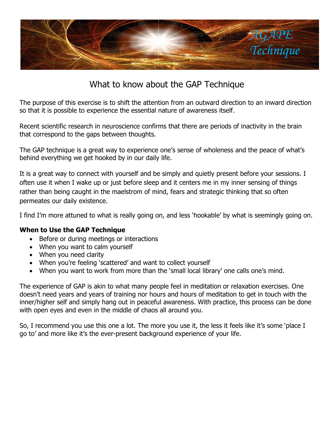

## What to know about the GAP Technique

The purpose of this exercise is to shift the attention from an outward direction to an inward direction so that it is possible to experience the essential nature of awareness itself.

Recent scientific research in neuroscience confirms that there are periods of inactivity in the brain that correspond to the gaps between thoughts.

The GAP technique is a great way to experience one's sense of wholeness and the peace of what's behind everything we get hooked by in our daily life.

It is a great way to connect with yourself and be simply and quietly present before your sessions. I often use it when I wake up or just before sleep and it centers me in my inner sensing of things rather than being caught in the maelstrom of mind, fears and strategic thinking that so often permeates our daily existence.

I find I'm more attuned to what is really going on, and less 'hookable' by what is seemingly going on.

## **When to Use the GAP Technique**

- Before or during meetings or interactions
- When you want to calm yourself
- When you need clarity
- When you're feeling 'scattered' and want to collect yourself
- When you want to work from more than the 'small local library' one calls one's mind.

The experience of GAP is akin to what many people feel in meditation or relaxation exercises. One doesn't need years and years of training nor hours and hours of meditation to get in touch with the inner/higher self and simply hang out in peaceful awareness. With practice, this process can be done with open eyes and even in the middle of chaos all around you.

So, I recommend you use this one a lot. The more you use it, the less it feels like it's some 'place I go to' and more like it's the ever-present background experience of your life.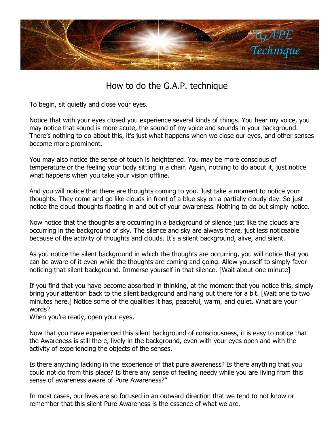

## How to do the G.A.P. technique

To begin, sit quietly and close your eyes.

Notice that with your eyes closed you experience several kinds of things. You hear my voice, you may notice that sound is more acute, the sound of my voice and sounds in your background. There's nothing to do about this, it's just what happens when we close our eyes, and other senses become more prominent.

You may also notice the sense of touch is heightened. You may be more conscious of temperature or the feeling your body sitting in a chair. Again, nothing to do about it, just notice what happens when you take your vision offline.

And you will notice that there are thoughts coming to you. Just take a moment to notice your thoughts. They come and go like clouds in front of a blue sky on a partially cloudy day. So just notice the cloud thoughts floating in and out of your awareness. Nothing to do but simply notice.

Now notice that the thoughts are occurring in a background of silence just like the clouds are occurring in the background of sky. The silence and sky are always there, just less noticeable because of the activity of thoughts and clouds. It's a silent background, alive, and silent.

As you notice the silent background in which the thoughts are occurring, you will notice that you can be aware of it even while the thoughts are coming and going. Allow yourself to simply favor noticing that silent background. Immerse yourself in that silence. [Wait about one minute]

If you find that you have become absorbed in thinking, at the moment that you notice this, simply bring your attention back to the silent background and hang out there for a bit. [Wait one to two minutes here.] Notice some of the qualities it has, peaceful, warm, and quiet. What are your words?

When you're ready, open your eyes.

Now that you have experienced this silent background of consciousness, it is easy to notice that the Awareness is still there, lively in the background, even with your eyes open and with the activity of experiencing the objects of the senses.

Is there anything lacking in the experience of that pure awareness? Is there anything that you could not do from this place? Is there any sense of feeling needy while you are living from this sense of awareness aware of Pure Awareness?"

In most cases, our lives are so focused in an outward direction that we tend to not know or remember that this silent Pure Awareness is the essence of what we are.